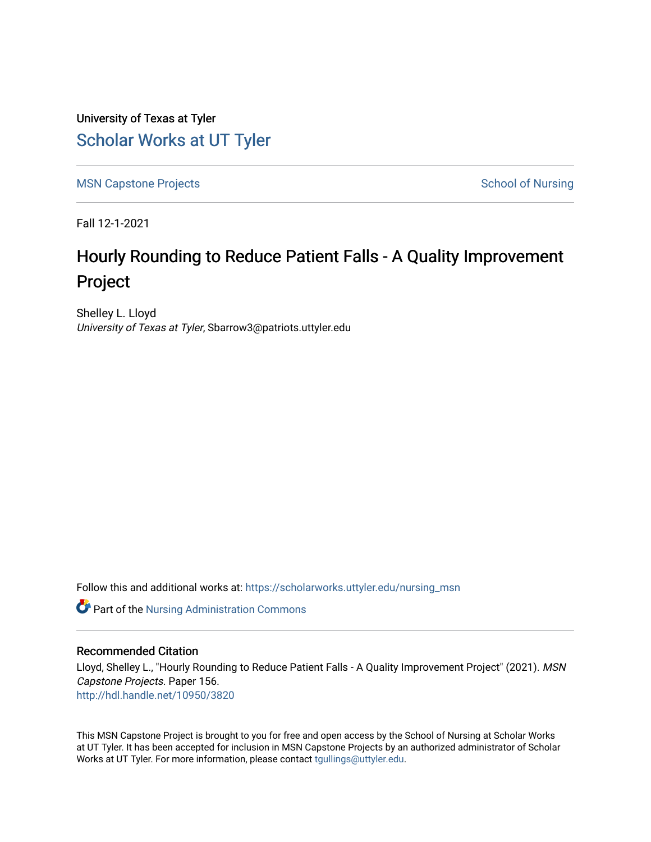University of Texas at Tyler [Scholar Works at UT Tyler](https://scholarworks.uttyler.edu/) 

[MSN Capstone Projects](https://scholarworks.uttyler.edu/nursing_msn) **School of Nursing** School of Nursing

Fall 12-1-2021

# Hourly Rounding to Reduce Patient Falls - A Quality Improvement Project

Shelley L. Lloyd University of Texas at Tyler, Sbarrow3@patriots.uttyler.edu

Follow this and additional works at: [https://scholarworks.uttyler.edu/nursing\\_msn](https://scholarworks.uttyler.edu/nursing_msn?utm_source=scholarworks.uttyler.edu%2Fnursing_msn%2F156&utm_medium=PDF&utm_campaign=PDFCoverPages)

Part of the [Nursing Administration Commons](http://network.bepress.com/hgg/discipline/719?utm_source=scholarworks.uttyler.edu%2Fnursing_msn%2F156&utm_medium=PDF&utm_campaign=PDFCoverPages)

### Recommended Citation

Lloyd, Shelley L., "Hourly Rounding to Reduce Patient Falls - A Quality Improvement Project" (2021). MSN Capstone Projects. Paper 156. [http://hdl.handle.net/10950/3820](http://hdl.handle.net/10950/3820?utm_source=scholarworks.uttyler.edu%2Fnursing_msn%2F156&utm_medium=PDF&utm_campaign=PDFCoverPages) 

This MSN Capstone Project is brought to you for free and open access by the School of Nursing at Scholar Works at UT Tyler. It has been accepted for inclusion in MSN Capstone Projects by an authorized administrator of Scholar Works at UT Tyler. For more information, please contact [tgullings@uttyler.edu](mailto:tgullings@uttyler.edu).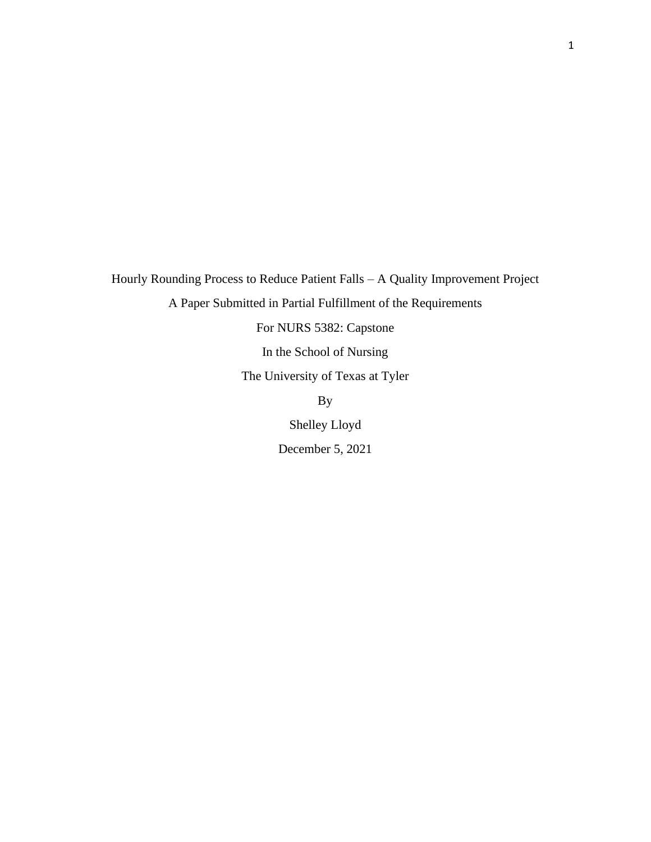Hourly Rounding Process to Reduce Patient Falls – A Quality Improvement Project A Paper Submitted in Partial Fulfillment of the Requirements For NURS 5382: Capstone In the School of Nursing The University of Texas at Tyler By

Shelley Lloyd

December 5, 2021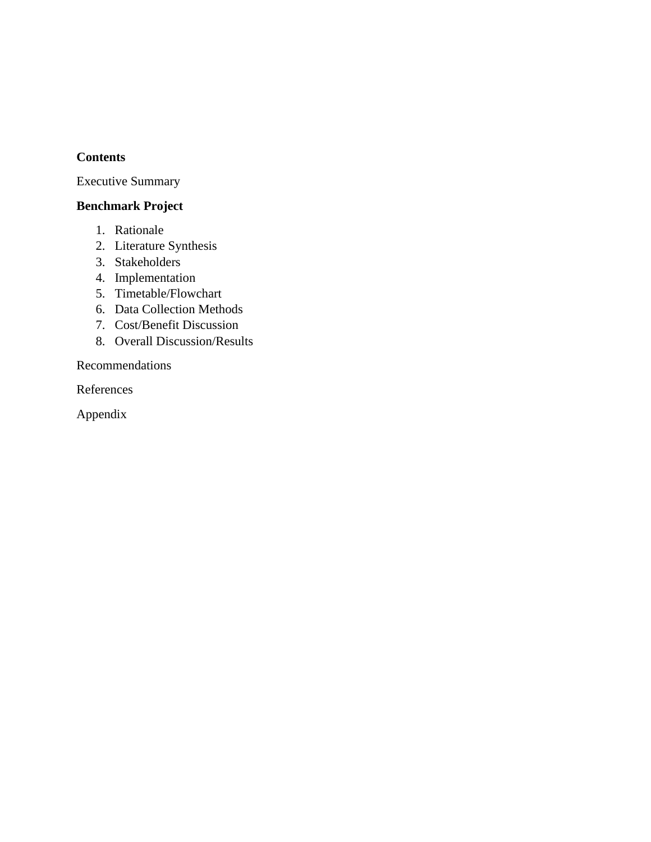# **Contents**

Executive Summary

# **Benchmark Project**

- 1. Rationale
- 2. Literature Synthesis
- 3. Stakeholders
- 4. Implementation
- 5. Timetable/Flowchart
- 6. Data Collection Methods
- 7. Cost/Benefit Discussion
- 8. Overall Discussion/Results

Recommendations

References

Appendix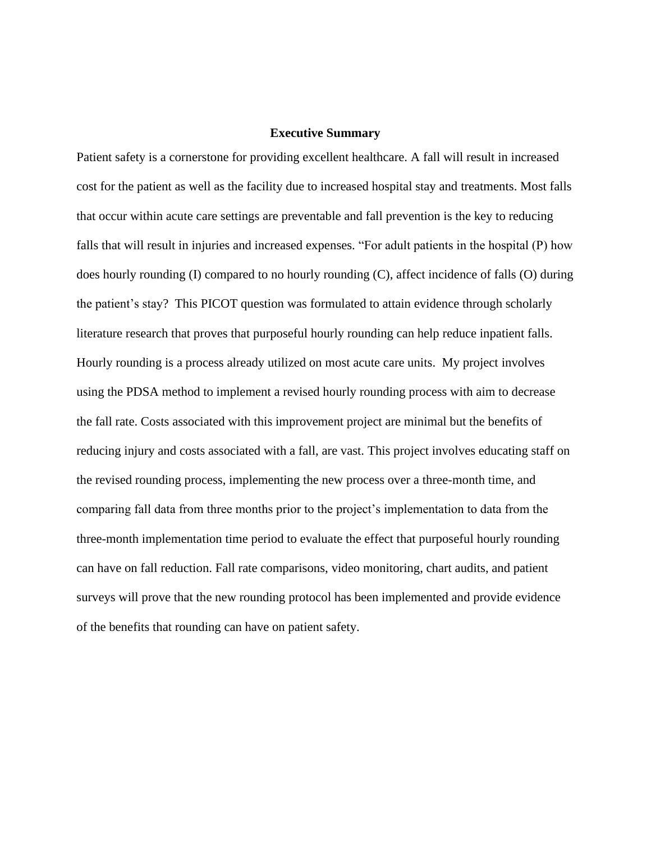#### **Executive Summary**

Patient safety is a cornerstone for providing excellent healthcare. A fall will result in increased cost for the patient as well as the facility due to increased hospital stay and treatments. Most falls that occur within acute care settings are preventable and fall prevention is the key to reducing falls that will result in injuries and increased expenses. "For adult patients in the hospital (P) how does hourly rounding (I) compared to no hourly rounding (C), affect incidence of falls (O) during the patient's stay? This PICOT question was formulated to attain evidence through scholarly literature research that proves that purposeful hourly rounding can help reduce inpatient falls. Hourly rounding is a process already utilized on most acute care units. My project involves using the PDSA method to implement a revised hourly rounding process with aim to decrease the fall rate. Costs associated with this improvement project are minimal but the benefits of reducing injury and costs associated with a fall, are vast. This project involves educating staff on the revised rounding process, implementing the new process over a three-month time, and comparing fall data from three months prior to the project's implementation to data from the three-month implementation time period to evaluate the effect that purposeful hourly rounding can have on fall reduction. Fall rate comparisons, video monitoring, chart audits, and patient surveys will prove that the new rounding protocol has been implemented and provide evidence of the benefits that rounding can have on patient safety.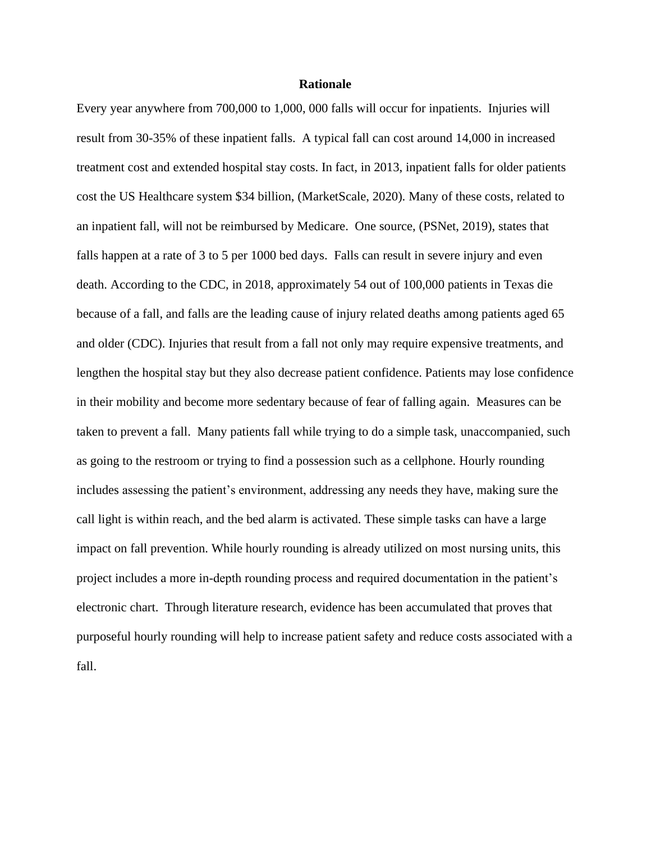#### **Rationale**

Every year anywhere from 700,000 to 1,000, 000 falls will occur for inpatients. Injuries will result from 30-35% of these inpatient falls. A typical fall can cost around 14,000 in increased treatment cost and extended hospital stay costs. In fact, in 2013, inpatient falls for older patients cost the US Healthcare system \$34 billion, (MarketScale, 2020). Many of these costs, related to an inpatient fall, will not be reimbursed by Medicare. One source, (PSNet, 2019), states that falls happen at a rate of 3 to 5 per 1000 bed days. Falls can result in severe injury and even death. According to the CDC, in 2018, approximately 54 out of 100,000 patients in Texas die because of a fall, and falls are the leading cause of injury related deaths among patients aged 65 and older (CDC). Injuries that result from a fall not only may require expensive treatments, and lengthen the hospital stay but they also decrease patient confidence. Patients may lose confidence in their mobility and become more sedentary because of fear of falling again. Measures can be taken to prevent a fall. Many patients fall while trying to do a simple task, unaccompanied, such as going to the restroom or trying to find a possession such as a cellphone. Hourly rounding includes assessing the patient's environment, addressing any needs they have, making sure the call light is within reach, and the bed alarm is activated. These simple tasks can have a large impact on fall prevention. While hourly rounding is already utilized on most nursing units, this project includes a more in-depth rounding process and required documentation in the patient's electronic chart. Through literature research, evidence has been accumulated that proves that purposeful hourly rounding will help to increase patient safety and reduce costs associated with a fall.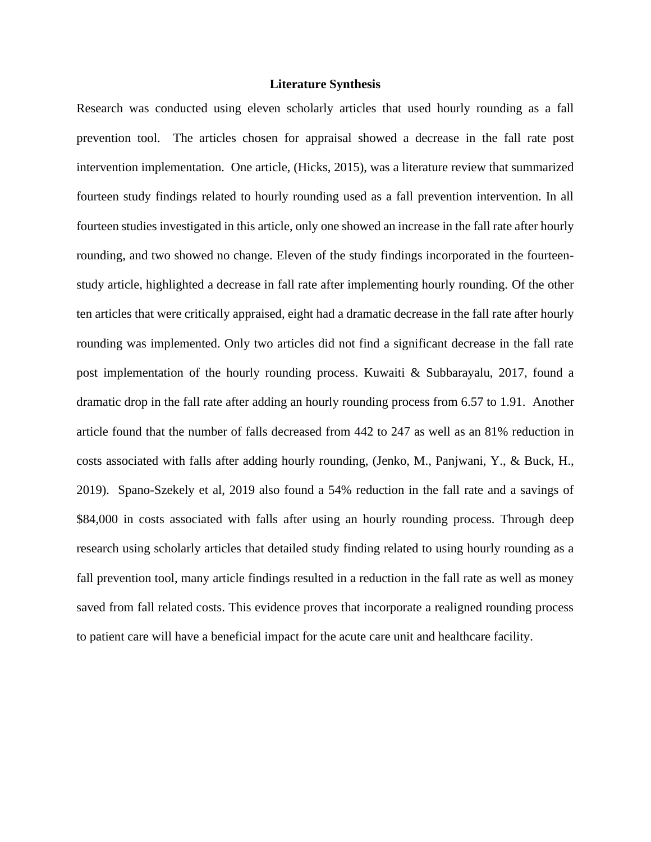### **Literature Synthesis**

Research was conducted using eleven scholarly articles that used hourly rounding as a fall prevention tool. The articles chosen for appraisal showed a decrease in the fall rate post intervention implementation. One article, (Hicks, 2015), was a literature review that summarized fourteen study findings related to hourly rounding used as a fall prevention intervention. In all fourteen studies investigated in this article, only one showed an increase in the fall rate after hourly rounding, and two showed no change. Eleven of the study findings incorporated in the fourteenstudy article, highlighted a decrease in fall rate after implementing hourly rounding. Of the other ten articles that were critically appraised, eight had a dramatic decrease in the fall rate after hourly rounding was implemented. Only two articles did not find a significant decrease in the fall rate post implementation of the hourly rounding process. Kuwaiti & Subbarayalu, 2017, found a dramatic drop in the fall rate after adding an hourly rounding process from 6.57 to 1.91. Another article found that the number of falls decreased from 442 to 247 as well as an 81% reduction in costs associated with falls after adding hourly rounding, (Jenko, M., Panjwani, Y., & Buck, H., 2019). Spano-Szekely et al, 2019 also found a 54% reduction in the fall rate and a savings of \$84,000 in costs associated with falls after using an hourly rounding process. Through deep research using scholarly articles that detailed study finding related to using hourly rounding as a fall prevention tool, many article findings resulted in a reduction in the fall rate as well as money saved from fall related costs. This evidence proves that incorporate a realigned rounding process to patient care will have a beneficial impact for the acute care unit and healthcare facility.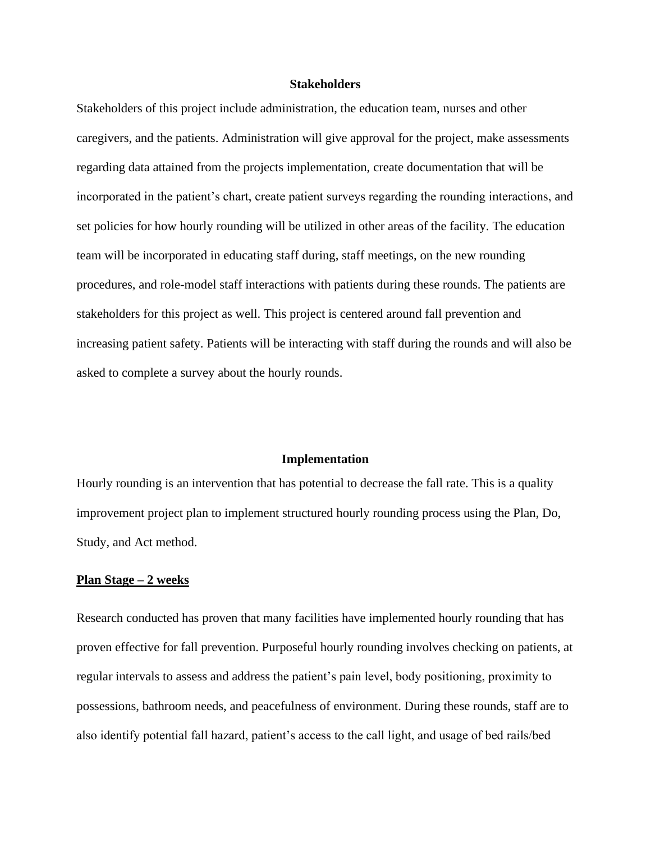#### **Stakeholders**

Stakeholders of this project include administration, the education team, nurses and other caregivers, and the patients. Administration will give approval for the project, make assessments regarding data attained from the projects implementation, create documentation that will be incorporated in the patient's chart, create patient surveys regarding the rounding interactions, and set policies for how hourly rounding will be utilized in other areas of the facility. The education team will be incorporated in educating staff during, staff meetings, on the new rounding procedures, and role-model staff interactions with patients during these rounds. The patients are stakeholders for this project as well. This project is centered around fall prevention and increasing patient safety. Patients will be interacting with staff during the rounds and will also be asked to complete a survey about the hourly rounds.

#### **Implementation**

Hourly rounding is an intervention that has potential to decrease the fall rate. This is a quality improvement project plan to implement structured hourly rounding process using the Plan, Do, Study, and Act method.

#### **Plan Stage – 2 weeks**

Research conducted has proven that many facilities have implemented hourly rounding that has proven effective for fall prevention. Purposeful hourly rounding involves checking on patients, at regular intervals to assess and address the patient's pain level, body positioning, proximity to possessions, bathroom needs, and peacefulness of environment. During these rounds, staff are to also identify potential fall hazard, patient's access to the call light, and usage of bed rails/bed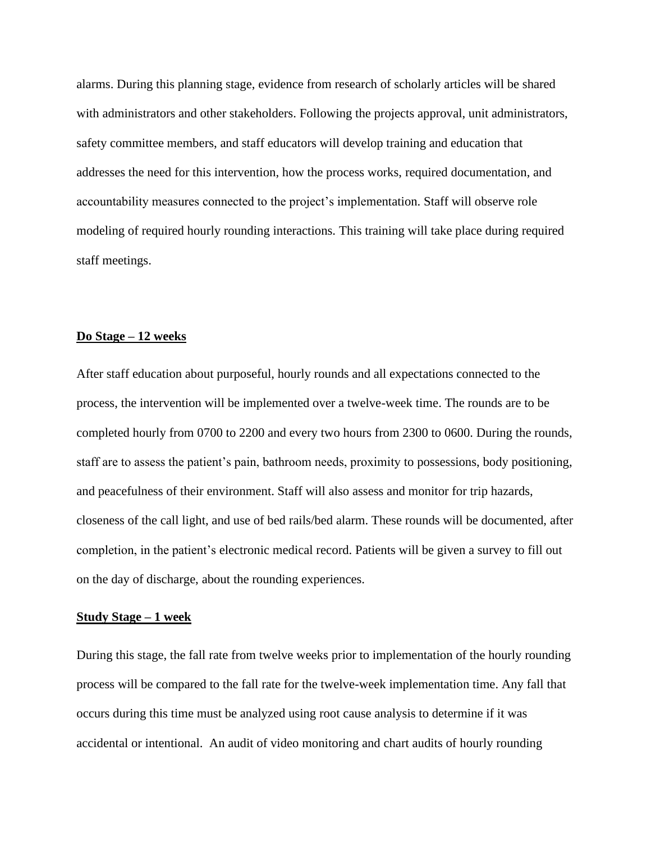alarms. During this planning stage, evidence from research of scholarly articles will be shared with administrators and other stakeholders. Following the projects approval, unit administrators, safety committee members, and staff educators will develop training and education that addresses the need for this intervention, how the process works, required documentation, and accountability measures connected to the project's implementation. Staff will observe role modeling of required hourly rounding interactions. This training will take place during required staff meetings.

#### **Do Stage – 12 weeks**

After staff education about purposeful, hourly rounds and all expectations connected to the process, the intervention will be implemented over a twelve-week time. The rounds are to be completed hourly from 0700 to 2200 and every two hours from 2300 to 0600. During the rounds, staff are to assess the patient's pain, bathroom needs, proximity to possessions, body positioning, and peacefulness of their environment. Staff will also assess and monitor for trip hazards, closeness of the call light, and use of bed rails/bed alarm. These rounds will be documented, after completion, in the patient's electronic medical record. Patients will be given a survey to fill out on the day of discharge, about the rounding experiences.

### **Study Stage – 1 week**

During this stage, the fall rate from twelve weeks prior to implementation of the hourly rounding process will be compared to the fall rate for the twelve-week implementation time. Any fall that occurs during this time must be analyzed using root cause analysis to determine if it was accidental or intentional. An audit of video monitoring and chart audits of hourly rounding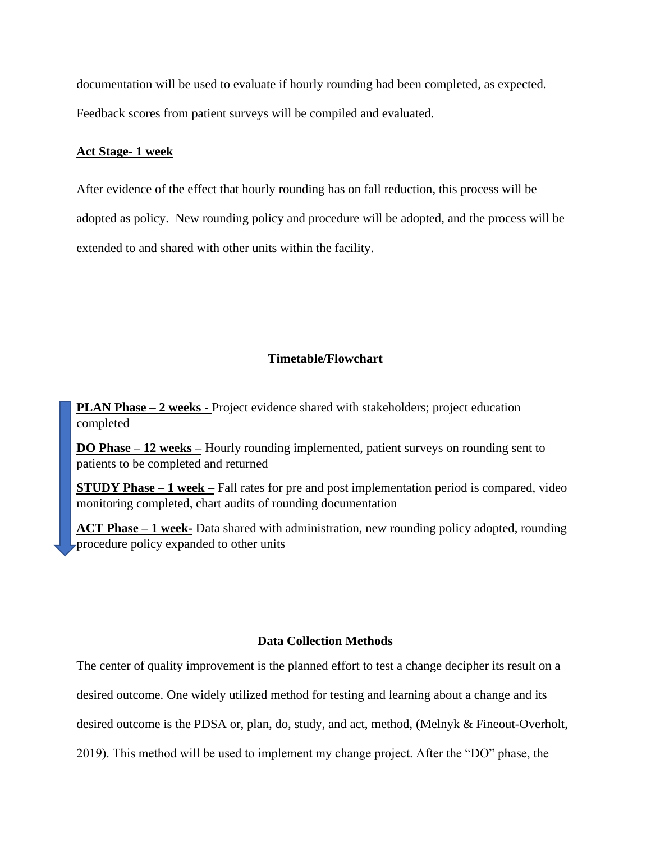documentation will be used to evaluate if hourly rounding had been completed, as expected. Feedback scores from patient surveys will be compiled and evaluated.

## **Act Stage- 1 week**

After evidence of the effect that hourly rounding has on fall reduction, this process will be adopted as policy. New rounding policy and procedure will be adopted, and the process will be extended to and shared with other units within the facility.

## **Timetable/Flowchart**

**PLAN Phase – 2 weeks -** Project evidence shared with stakeholders; project education completed

**DO Phase – 12 weeks –** Hourly rounding implemented, patient surveys on rounding sent to patients to be completed and returned

**STUDY Phase – 1 week –** Fall rates for pre and post implementation period is compared, video monitoring completed, chart audits of rounding documentation

**ACT Phase – 1 week-** Data shared with administration, new rounding policy adopted, rounding procedure policy expanded to other units

#### **Data Collection Methods**

The center of quality improvement is the planned effort to test a change decipher its result on a desired outcome. One widely utilized method for testing and learning about a change and its desired outcome is the PDSA or, plan, do, study, and act, method, (Melnyk & Fineout-Overholt, 2019). This method will be used to implement my change project. After the "DO" phase, the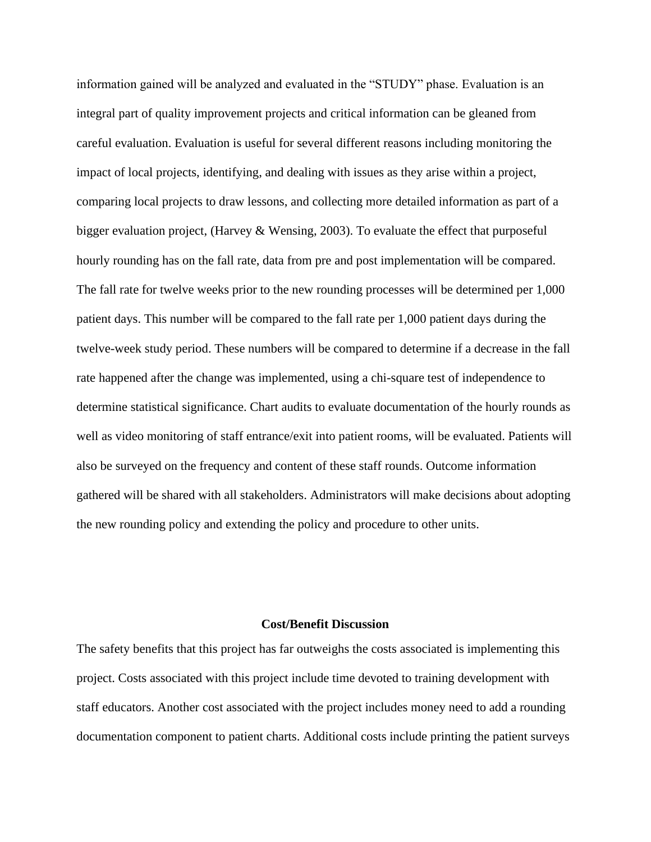information gained will be analyzed and evaluated in the "STUDY" phase. Evaluation is an integral part of quality improvement projects and critical information can be gleaned from careful evaluation. Evaluation is useful for several different reasons including monitoring the impact of local projects, identifying, and dealing with issues as they arise within a project, comparing local projects to draw lessons, and collecting more detailed information as part of a bigger evaluation project, (Harvey & Wensing, 2003). To evaluate the effect that purposeful hourly rounding has on the fall rate, data from pre and post implementation will be compared. The fall rate for twelve weeks prior to the new rounding processes will be determined per 1,000 patient days. This number will be compared to the fall rate per 1,000 patient days during the twelve-week study period. These numbers will be compared to determine if a decrease in the fall rate happened after the change was implemented, using a chi-square test of independence to determine statistical significance. Chart audits to evaluate documentation of the hourly rounds as well as video monitoring of staff entrance/exit into patient rooms, will be evaluated. Patients will also be surveyed on the frequency and content of these staff rounds. Outcome information gathered will be shared with all stakeholders. Administrators will make decisions about adopting the new rounding policy and extending the policy and procedure to other units.

#### **Cost/Benefit Discussion**

The safety benefits that this project has far outweighs the costs associated is implementing this project. Costs associated with this project include time devoted to training development with staff educators. Another cost associated with the project includes money need to add a rounding documentation component to patient charts. Additional costs include printing the patient surveys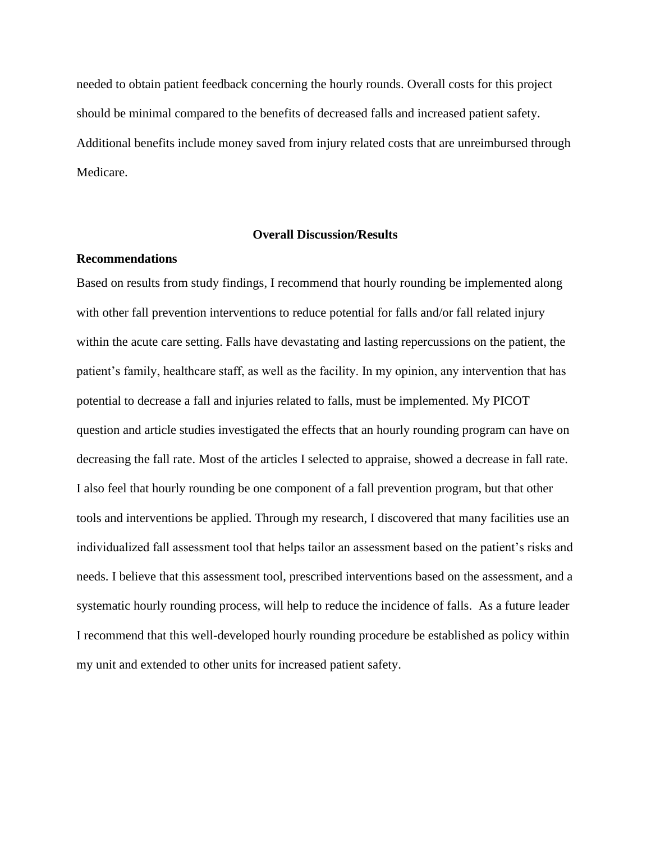needed to obtain patient feedback concerning the hourly rounds. Overall costs for this project should be minimal compared to the benefits of decreased falls and increased patient safety. Additional benefits include money saved from injury related costs that are unreimbursed through Medicare.

### **Overall Discussion/Results**

#### **Recommendations**

Based on results from study findings, I recommend that hourly rounding be implemented along with other fall prevention interventions to reduce potential for falls and/or fall related injury within the acute care setting. Falls have devastating and lasting repercussions on the patient, the patient's family, healthcare staff, as well as the facility. In my opinion, any intervention that has potential to decrease a fall and injuries related to falls, must be implemented. My PICOT question and article studies investigated the effects that an hourly rounding program can have on decreasing the fall rate. Most of the articles I selected to appraise, showed a decrease in fall rate. I also feel that hourly rounding be one component of a fall prevention program, but that other tools and interventions be applied. Through my research, I discovered that many facilities use an individualized fall assessment tool that helps tailor an assessment based on the patient's risks and needs. I believe that this assessment tool, prescribed interventions based on the assessment, and a systematic hourly rounding process, will help to reduce the incidence of falls. As a future leader I recommend that this well-developed hourly rounding procedure be established as policy within my unit and extended to other units for increased patient safety.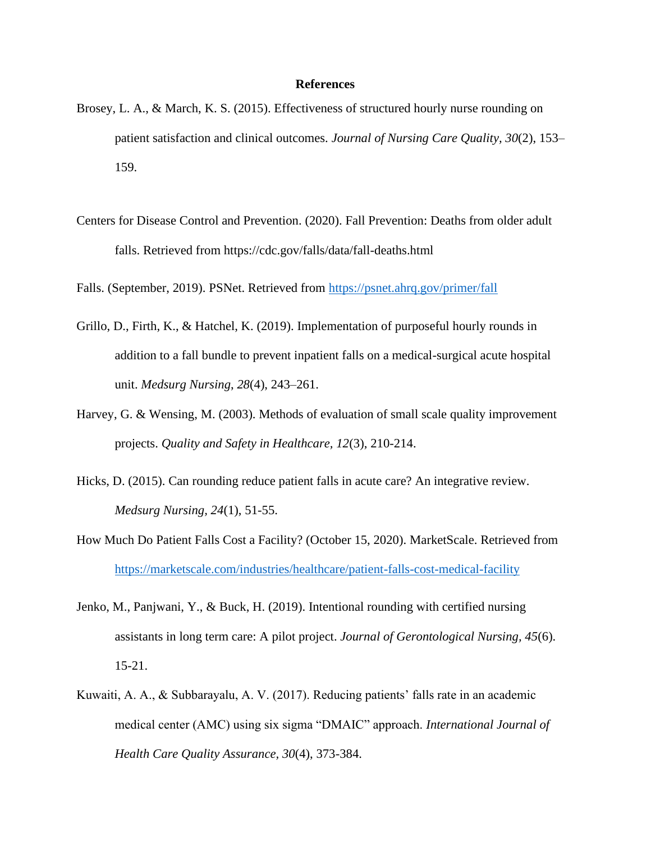#### **References**

- Brosey, L. A., & March, K. S. (2015). Effectiveness of structured hourly nurse rounding on patient satisfaction and clinical outcomes. *Journal of Nursing Care Quality, 30*(2), 153– 159.
- Centers for Disease Control and Prevention. (2020). Fall Prevention: Deaths from older adult falls. Retrieved from https://cdc.gov/falls/data/fall-deaths.html

Falls. (September, 2019). PSNet. Retrieved from<https://psnet.ahrq.gov/primer/fall>

- Grillo, D., Firth, K., & Hatchel, K. (2019). Implementation of purposeful hourly rounds in addition to a fall bundle to prevent inpatient falls on a medical-surgical acute hospital unit. *Medsurg Nursing*, *28*(4), 243–261.
- Harvey, G. & Wensing, M. (2003). Methods of evaluation of small scale quality improvement projects. *Quality and Safety in Healthcare, 12*(3), 210-214.
- Hicks, D. (2015). Can rounding reduce patient falls in acute care? An integrative review. *Medsurg Nursing, 24*(1), 51-55.
- How Much Do Patient Falls Cost a Facility? (October 15, 2020). MarketScale. Retrieved from <https://marketscale.com/industries/healthcare/patient-falls-cost-medical-facility>
- Jenko, M., Panjwani, Y., & Buck, H. (2019). Intentional rounding with certified nursing assistants in long term care: A pilot project. *Journal of Gerontological Nursing, 45*(6). 15-21.
- Kuwaiti, A. A., & Subbarayalu, A. V. (2017). Reducing patients' falls rate in an academic medical center (AMC) using six sigma "DMAIC" approach. *International Journal of Health Care Quality Assurance, 30*(4), 373-384.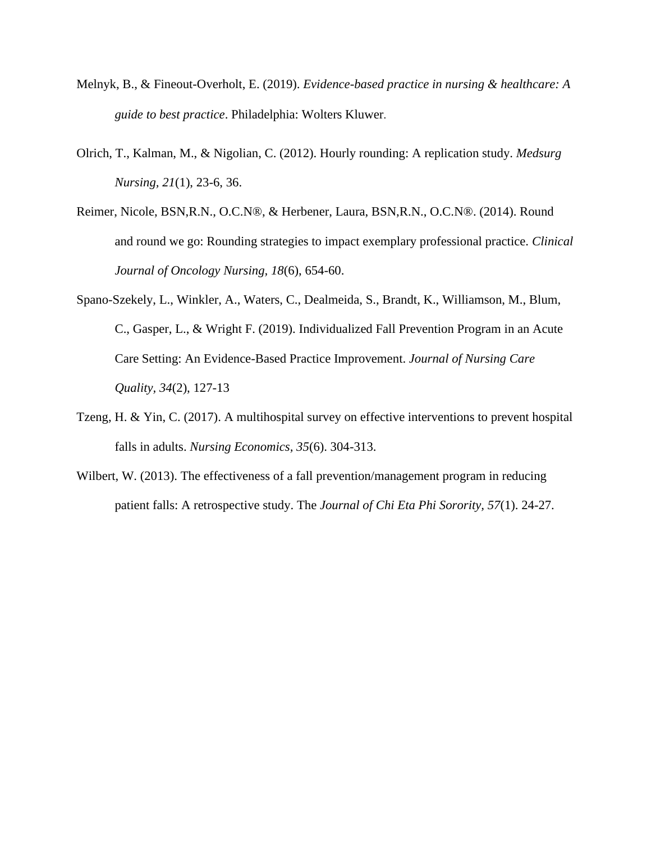- Melnyk, B., & Fineout-Overholt, E. (2019). *Evidence-based practice in nursing & healthcare: A guide to best practice*. Philadelphia: Wolters Kluwer.
- Olrich, T., Kalman, M., & Nigolian, C. (2012). Hourly rounding: A replication study. *Medsurg Nursing, 21*(1), 23-6, 36.
- Reimer, Nicole, BSN,R.N., O.C.N®, & Herbener, Laura, BSN,R.N., O.C.N®. (2014). Round and round we go: Rounding strategies to impact exemplary professional practice. *Clinical Journal of Oncology Nursing, 18*(6), 654-60.
- Spano-Szekely, L., Winkler, A., Waters, C., Dealmeida, S., Brandt, K., Williamson, M., Blum, C., Gasper, L., & Wright F. (2019). Individualized Fall Prevention Program in an Acute Care Setting: An Evidence-Based Practice Improvement. *Journal of Nursing Care Quality, 34*(2), 127-13
- Tzeng, H. & Yin, C. (2017). A multihospital survey on effective interventions to prevent hospital falls in adults. *Nursing Economics, 35*(6). 304-313.
- Wilbert, W. (2013). The effectiveness of a fall prevention/management program in reducing patient falls: A retrospective study. The *Journal of Chi Eta Phi Sorority, 57*(1). 24-27.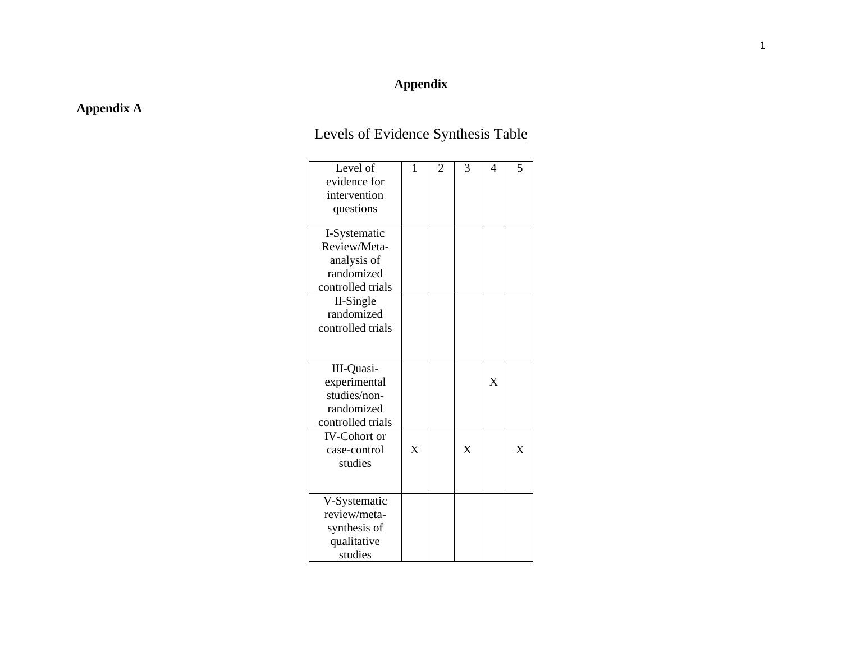# **Appendix**

# **Appendix A**

# Levels of Evidence Synthesis Table

| Level of            | 1 | $\overline{2}$ | 3 | $\overline{4}$ | 5 |
|---------------------|---|----------------|---|----------------|---|
| evidence for        |   |                |   |                |   |
| intervention        |   |                |   |                |   |
| questions           |   |                |   |                |   |
|                     |   |                |   |                |   |
| I-Systematic        |   |                |   |                |   |
| Review/Meta-        |   |                |   |                |   |
| analysis of         |   |                |   |                |   |
| randomized          |   |                |   |                |   |
| controlled trials   |   |                |   |                |   |
| II-Single           |   |                |   |                |   |
| randomized          |   |                |   |                |   |
| controlled trials   |   |                |   |                |   |
|                     |   |                |   |                |   |
|                     |   |                |   |                |   |
| III-Quasi-          |   |                |   |                |   |
| experimental        |   |                |   | $\mathbf{X}$   |   |
| studies/non-        |   |                |   |                |   |
| randomized          |   |                |   |                |   |
| controlled trials   |   |                |   |                |   |
| <b>IV-Cohort or</b> |   |                |   |                |   |
| case-control        | X |                | X |                | X |
| studies             |   |                |   |                |   |
|                     |   |                |   |                |   |
|                     |   |                |   |                |   |
| V-Systematic        |   |                |   |                |   |
| review/meta-        |   |                |   |                |   |
| synthesis of        |   |                |   |                |   |
| qualitative         |   |                |   |                |   |
| studies             |   |                |   |                |   |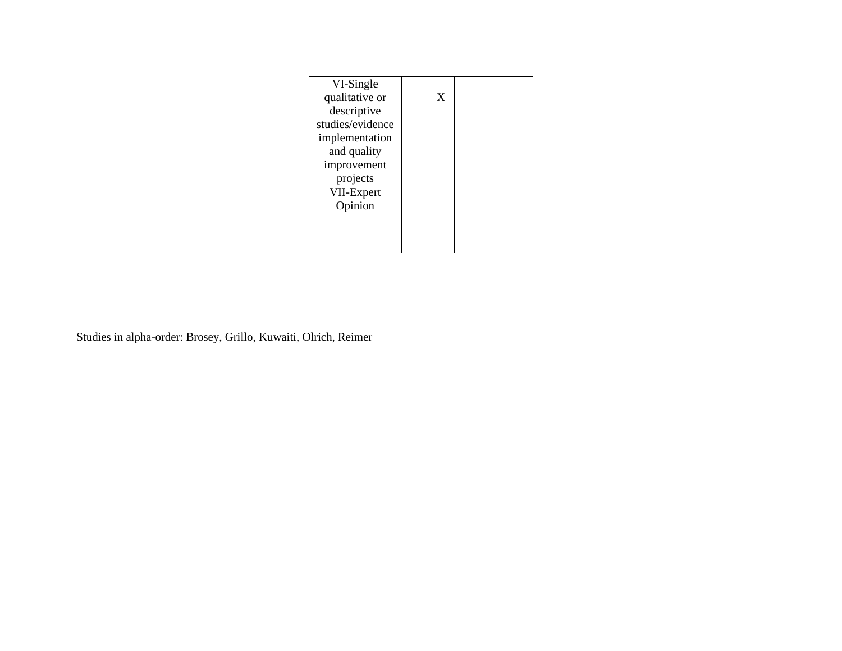| VI-Single        |   |  |  |
|------------------|---|--|--|
| qualitative or   | X |  |  |
| descriptive      |   |  |  |
| studies/evidence |   |  |  |
| implementation   |   |  |  |
| and quality      |   |  |  |
| improvement      |   |  |  |
| projects         |   |  |  |
| VII-Expert       |   |  |  |
| Opinion          |   |  |  |
|                  |   |  |  |
|                  |   |  |  |
|                  |   |  |  |

Studies in alpha-order: Brosey, Grillo, Kuwaiti, Olrich, Reimer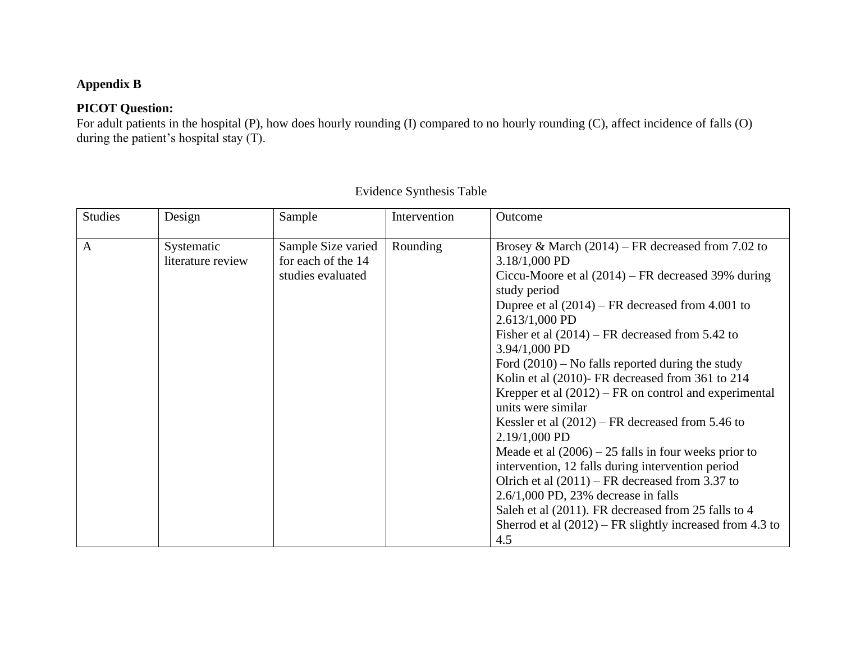# **Appendix B**

# **PICOT Question:**

For adult patients in the hospital (P), how does hourly rounding (I) compared to no hourly rounding (C), affect incidence of falls (O) during the patient's hospital stay (T).

| <b>Studies</b> | Design                          | Sample                                                        | Intervention | Outcome                                                                                                                                                                                                                                                                                                                                                                                                                                                                                                                                                                                                                                                                                                                                                                                                                                                                                            |
|----------------|---------------------------------|---------------------------------------------------------------|--------------|----------------------------------------------------------------------------------------------------------------------------------------------------------------------------------------------------------------------------------------------------------------------------------------------------------------------------------------------------------------------------------------------------------------------------------------------------------------------------------------------------------------------------------------------------------------------------------------------------------------------------------------------------------------------------------------------------------------------------------------------------------------------------------------------------------------------------------------------------------------------------------------------------|
| $\mathbf{A}$   | Systematic<br>literature review | Sample Size varied<br>for each of the 14<br>studies evaluated | Rounding     | Brosey & March $(2014)$ – FR decreased from 7.02 to<br>$3.18/1,000$ PD<br>Ciccu-Moore et al $(2014)$ – FR decreased 39% during<br>study period<br>Dupree et al $(2014)$ – FR decreased from 4.001 to<br>2.613/1,000 PD<br>Fisher et al $(2014)$ – FR decreased from 5.42 to<br>$3.94/1,000$ PD<br>Ford $(2010)$ – No falls reported during the study<br>Kolin et al (2010)- FR decreased from 361 to 214<br>Krepper et al $(2012)$ – FR on control and experimental<br>units were similar<br>Kessler et al $(2012)$ – FR decreased from 5.46 to<br>2.19/1,000 PD<br>Meade et al $(2006) - 25$ falls in four weeks prior to<br>intervention, 12 falls during intervention period<br>Olrich et al $(2011)$ – FR decreased from 3.37 to<br>$2.6/1,000$ PD, 23% decrease in falls<br>Saleh et al (2011). FR decreased from 25 falls to 4<br>Sherrod et al $(2012)$ – FR slightly increased from 4.3 to |
|                |                                 |                                                               |              | 4.5                                                                                                                                                                                                                                                                                                                                                                                                                                                                                                                                                                                                                                                                                                                                                                                                                                                                                                |

Evidence Synthesis Table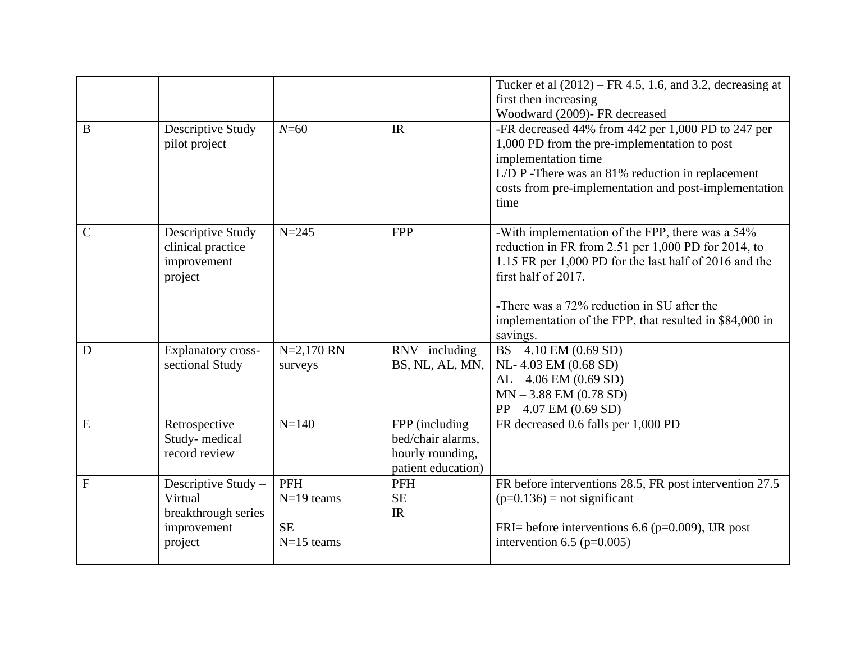|                |                                                                                 |                                                         |                                                                               | Tucker et al $(2012)$ – FR 4.5, 1.6, and 3.2, decreasing at<br>first then increasing                                                                                                                                                                                                                          |
|----------------|---------------------------------------------------------------------------------|---------------------------------------------------------|-------------------------------------------------------------------------------|---------------------------------------------------------------------------------------------------------------------------------------------------------------------------------------------------------------------------------------------------------------------------------------------------------------|
| B              | Descriptive Study -<br>pilot project                                            | $N = 60$                                                | IR                                                                            | Woodward (2009)- FR decreased<br>-FR decreased 44% from 442 per 1,000 PD to 247 per<br>1,000 PD from the pre-implementation to post<br>implementation time<br>L/D P - There was an 81% reduction in replacement<br>costs from pre-implementation and post-implementation<br>time                              |
| $\overline{C}$ | Descriptive Study -<br>clinical practice<br>improvement<br>project              | $N = 245$                                               | <b>FPP</b>                                                                    | -With implementation of the FPP, there was a 54%<br>reduction in FR from 2.51 per 1,000 PD for 2014, to<br>1.15 FR per 1,000 PD for the last half of 2016 and the<br>first half of 2017.<br>-There was a 72% reduction in SU after the<br>implementation of the FPP, that resulted in \$84,000 in<br>savings. |
| D              | <b>Explanatory cross-</b><br>sectional Study                                    | $N=2,170$ RN<br>surveys                                 | RNV-including<br>BS, NL, AL, MN,                                              | $BS - 4.10$ EM (0.69 SD)<br>NL- 4.03 EM (0.68 SD)<br>$AL - 4.06 EM (0.69 SD)$<br>$MN - 3.88$ EM (0.78 SD)<br>$PP - 4.07$ EM (0.69 SD)                                                                                                                                                                         |
| ${\bf E}$      | Retrospective<br>Study-medical<br>record review                                 | $N = 140$                                               | FPP (including<br>bed/chair alarms.<br>hourly rounding,<br>patient education) | FR decreased 0.6 falls per 1,000 PD                                                                                                                                                                                                                                                                           |
| $\overline{F}$ | Descriptive Study -<br>Virtual<br>breakthrough series<br>improvement<br>project | <b>PFH</b><br>$N=19$ teams<br><b>SE</b><br>$N=15$ teams | PFH<br><b>SE</b><br>IR                                                        | FR before interventions 28.5, FR post intervention 27.5<br>$(p=0.136)$ = not significant<br>FRI= before interventions 6.6 ( $p=0.009$ ), IJR post<br>intervention 6.5 ( $p=0.005$ )                                                                                                                           |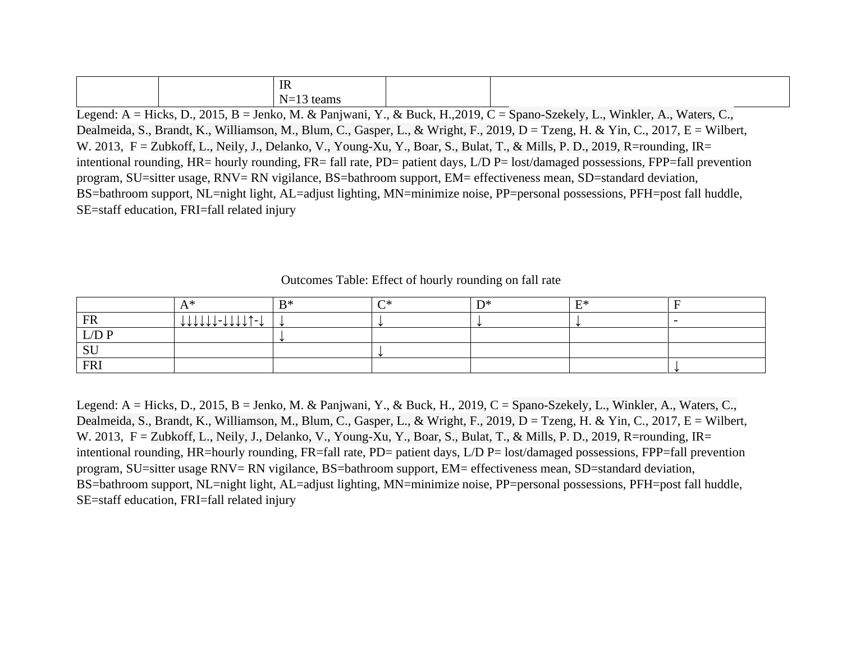|  | IR                                        |  |  |
|--|-------------------------------------------|--|--|
|  | $N-1$<br>$\sqrt{1}$<br>teams<br>$11 - 13$ |  |  |

Legend: A = Hicks, D., 2015, B = Jenko, M. & Panjwani, Y., & Buck, H.,2019, C = Spano-Szekely, L., Winkler, A., Waters, C., Dealmeida, S., Brandt, K., Williamson, M., Blum, C., Gasper, L., & Wright, F., 2019, D = Tzeng, H. & Yin, C., 2017, E = Wilbert, W. 2013, F = Zubkoff, L., Neily, J., Delanko, V., Young-Xu, Y., Boar, S., Bulat, T., & Mills, P. D., 2019, R=rounding, IR= intentional rounding, HR= hourly rounding, FR= fall rate, PD= patient days, L/D P= lost/damaged possessions, FPP=fall prevention program, SU=sitter usage, RNV= RN vigilance, BS=bathroom support, EM= effectiveness mean, SD=standard deviation, BS=bathroom support, NL=night light, AL=adjust lighting, MN=minimize noise, PP=personal possessions, PFH=post fall huddle, SE=staff education, FRI=fall related injury

|               | Δ*               | $R*$ | $\cap^*$ | $\mathbf{D}^*$ | $F^*$ |  |
|---------------|------------------|------|----------|----------------|-------|--|
| FR            | \\\\\\\-\\\\1^-\ |      |          |                |       |  |
| ${\rm L/D}$ P |                  |      |          |                |       |  |
| CIT<br>υU     |                  |      |          |                |       |  |
| <b>FRI</b>    |                  |      |          |                |       |  |

Outcomes Table: Effect of hourly rounding on fall rate

Legend: A = Hicks, D., 2015, B = Jenko, M. & Panjwani, Y., & Buck, H., 2019, C = Spano-Szekely, L., Winkler, A., Waters, C., Dealmeida, S., Brandt, K., Williamson, M., Blum, C., Gasper, L., & Wright, F., 2019, D = Tzeng, H. & Yin, C., 2017, E = Wilbert, W. 2013, F = Zubkoff, L., Neily, J., Delanko, V., Young-Xu, Y., Boar, S., Bulat, T., & Mills, P. D., 2019, R=rounding, IR= intentional rounding, HR=hourly rounding, FR=fall rate, PD= patient days, L/D P= lost/damaged possessions, FPP=fall prevention program, SU=sitter usage RNV= RN vigilance, BS=bathroom support, EM= effectiveness mean, SD=standard deviation, BS=bathroom support, NL=night light, AL=adjust lighting, MN=minimize noise, PP=personal possessions, PFH=post fall huddle, SE=staff education, FRI=fall related injury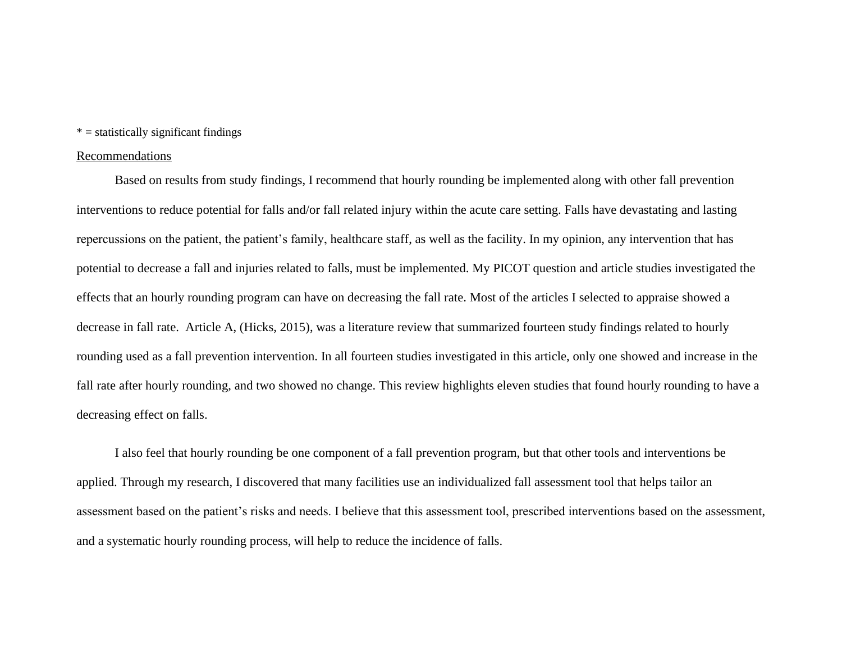## $* =$  statistically significant findings

#### Recommendations

Based on results from study findings, I recommend that hourly rounding be implemented along with other fall prevention interventions to reduce potential for falls and/or fall related injury within the acute care setting. Falls have devastating and lasting repercussions on the patient, the patient's family, healthcare staff, as well as the facility. In my opinion, any intervention that has potential to decrease a fall and injuries related to falls, must be implemented. My PICOT question and article studies investigated the effects that an hourly rounding program can have on decreasing the fall rate. Most of the articles I selected to appraise showed a decrease in fall rate. Article A, (Hicks, 2015), was a literature review that summarized fourteen study findings related to hourly rounding used as a fall prevention intervention. In all fourteen studies investigated in this article, only one showed and increase in the fall rate after hourly rounding, and two showed no change. This review highlights eleven studies that found hourly rounding to have a decreasing effect on falls.

I also feel that hourly rounding be one component of a fall prevention program, but that other tools and interventions be applied. Through my research, I discovered that many facilities use an individualized fall assessment tool that helps tailor an assessment based on the patient's risks and needs. I believe that this assessment tool, prescribed interventions based on the assessment, and a systematic hourly rounding process, will help to reduce the incidence of falls.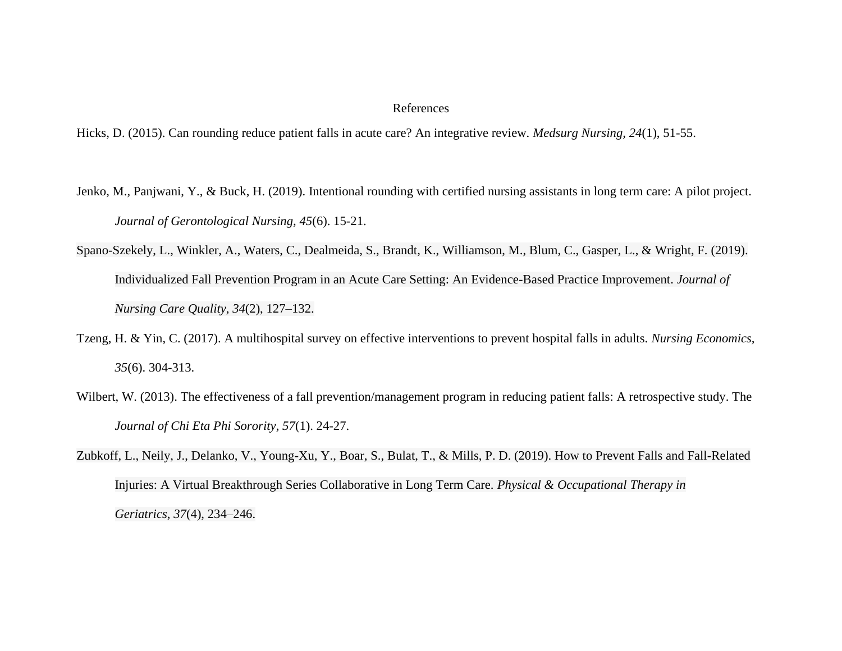#### References

Hicks, D. (2015). Can rounding reduce patient falls in acute care? An integrative review. *Medsurg Nursing, 24*(1), 51-55.

- Jenko, M., Panjwani, Y., & Buck, H. (2019). Intentional rounding with certified nursing assistants in long term care: A pilot project. *Journal of Gerontological Nursing, 45*(6). 15-21.
- Spano-Szekely, L., Winkler, A., Waters, C., Dealmeida, S., Brandt, K., Williamson, M., Blum, C., Gasper, L., & Wright, F. (2019). Individualized Fall Prevention Program in an Acute Care Setting: An Evidence-Based Practice Improvement. *Journal of Nursing Care Quality*, *34*(2), 127–132.
- Tzeng, H. & Yin, C. (2017). A multihospital survey on effective interventions to prevent hospital falls in adults. *Nursing Economics, 35*(6). 304-313.
- Wilbert, W. (2013). The effectiveness of a fall prevention/management program in reducing patient falls: A retrospective study. The *Journal of Chi Eta Phi Sorority, 57*(1). 24-27.
- Zubkoff, L., Neily, J., Delanko, V., Young-Xu, Y., Boar, S., Bulat, T., & Mills, P. D. (2019). How to Prevent Falls and Fall-Related Injuries: A Virtual Breakthrough Series Collaborative in Long Term Care. *Physical & Occupational Therapy in Geriatrics*, *37*(4), 234–246.